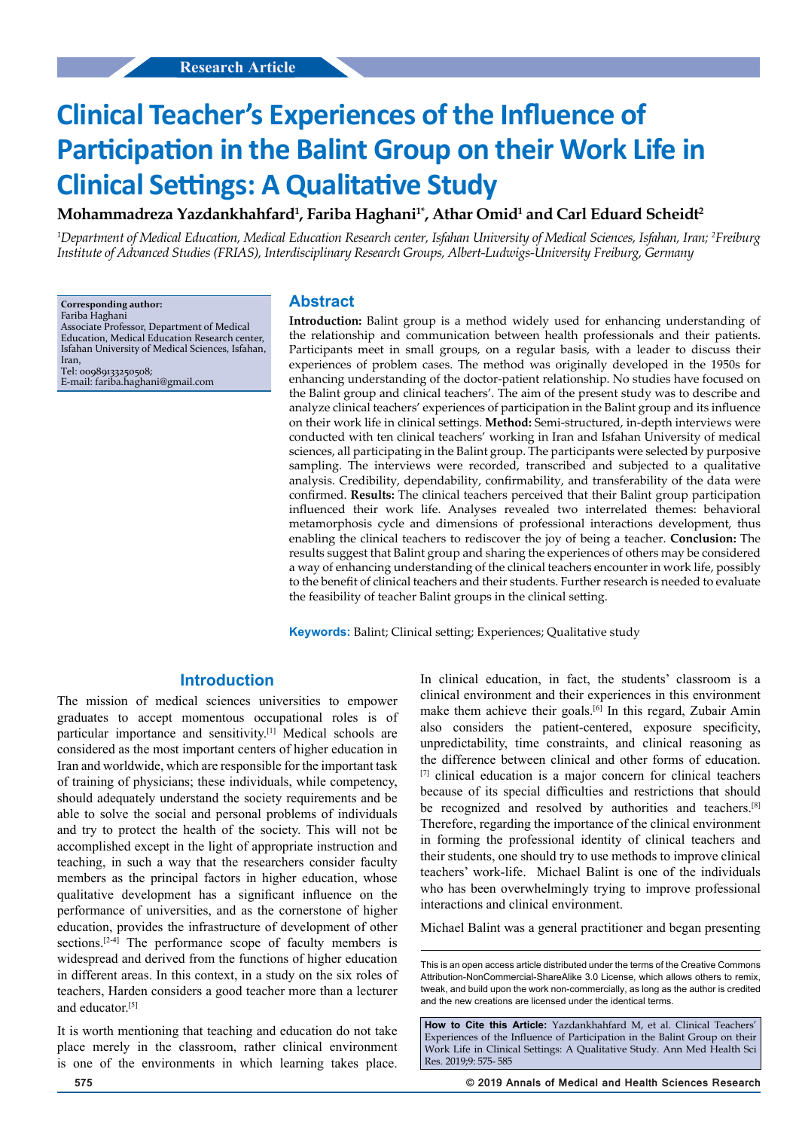**Mohammadreza Yazdankhahfard1 , Fariba Haghani1\*, Athar Omid1 and Carl Eduard Scheidt2**

*1 Department of Medical Education, Medical Education Research center, Isfahan University of Medical Sciences, Isfahan, Iran; 2 Freiburg Institute of Advanced Studies (FRIAS), Interdisciplinary Research Groups, Albert-Ludwigs-University Freiburg, Germany*

**Corresponding author:**

Fariba Haghani

Associate Professor, Department of Medical Education, Medical Education Research center, Isfahan University of Medical Sciences, Isfahan, Iran,

Tel: 00989133250508; E-mail: fariba.haghani@gmail.com

### **Abstract**

**Introduction:** Balint group is a method widely used for enhancing understanding of the relationship and communication between health professionals and their patients. Participants meet in small groups, on a regular basis, with a leader to discuss their experiences of problem cases. The method was originally developed in the 1950s for enhancing understanding of the doctor-patient relationship. No studies have focused on the Balint group and clinical teachers'. The aim of the present study was to describe and analyze clinical teachers' experiences of participation in the Balint group and its influence on their work life in clinical settings. **Method:** Semi-structured, in-depth interviews were conducted with ten clinical teachers' working in Iran and Isfahan University of medical sciences, all participating in the Balint group. The participants were selected by purposive sampling. The interviews were recorded, transcribed and subjected to a qualitative analysis. Credibility, dependability, confirmability, and transferability of the data were confirmed. **Results:** The clinical teachers perceived that their Balint group participation influenced their work life. Analyses revealed two interrelated themes: behavioral metamorphosis cycle and dimensions of professional interactions development, thus enabling the clinical teachers to rediscover the joy of being a teacher. **Conclusion:** The results suggest that Balint group and sharing the experiences of others may be considered a way of enhancing understanding of the clinical teachers encounter in work life, possibly to the benefit of clinical teachers and their students. Further research is needed to evaluate the feasibility of teacher Balint groups in the clinical setting.

**Keywords:** Balint; Clinical setting; Experiences; Qualitative study

## **Introduction**

The mission of medical sciences universities to empower graduates to accept momentous occupational roles is of particular importance and sensitivity.[1] Medical schools are considered as the most important centers of higher education in Iran and worldwide, which are responsible for the important task of training of physicians; these individuals, while competency, should adequately understand the society requirements and be able to solve the social and personal problems of individuals and try to protect the health of the society. This will not be accomplished except in the light of appropriate instruction and teaching, in such a way that the researchers consider faculty members as the principal factors in higher education, whose qualitative development has a significant influence on the performance of universities, and as the cornerstone of higher education, provides the infrastructure of development of other sections.<sup>[2-4]</sup> The performance scope of faculty members is widespread and derived from the functions of higher education in different areas. In this context, in a study on the six roles of teachers, Harden considers a good teacher more than a lecturer and educator.[5]

It is worth mentioning that teaching and education do not take place merely in the classroom, rather clinical environment is one of the environments in which learning takes place.

In clinical education, in fact, the students' classroom is a clinical environment and their experiences in this environment make them achieve their goals.<sup>[6]</sup> In this regard, Zubair Amin also considers the patient-centered, exposure specificity, unpredictability, time constraints, and clinical reasoning as the difference between clinical and other forms of education. [7] clinical education is a major concern for clinical teachers because of its special difficulties and restrictions that should be recognized and resolved by authorities and teachers.<sup>[8]</sup> Therefore, regarding the importance of the clinical environment in forming the professional identity of clinical teachers and their students, one should try to use methods to improve clinical teachers' work-life. Michael Balint is one of the individuals who has been overwhelmingly trying to improve professional interactions and clinical environment.

Michael Balint was a general practitioner and began presenting

**How to Cite this Article:** Yazdankhahfard M, et al. Clinical Teachers' Experiences of the Influence of Participation in the Balint Group on their Work Life in Clinical Settings: A Qualitative Study. Ann Med Health Sci Res. 2019;9: 575- 585

This is an open access article distributed under the terms of the Creative Commons Attribution‑NonCommercial‑ShareAlike 3.0 License, which allows others to remix tweak, and build upon the work non‑commercially, as long as the author is credited and the new creations are licensed under the identical terms.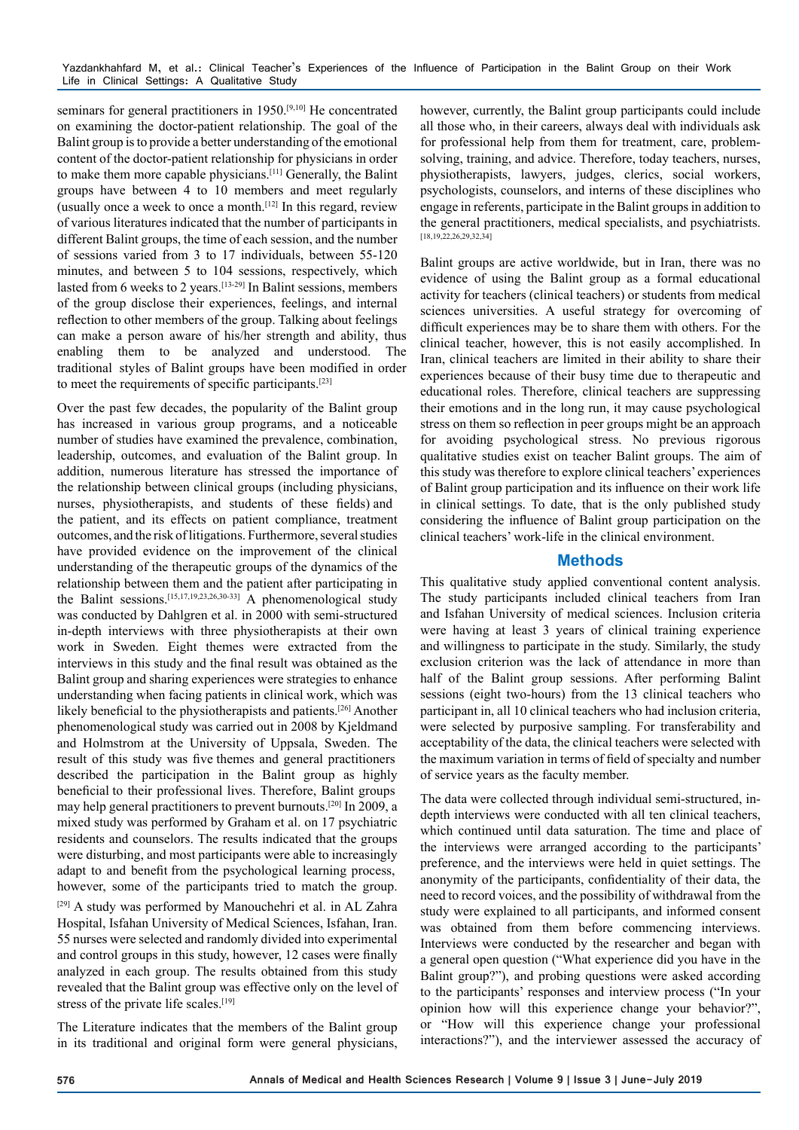seminars for general practitioners in 1950.<sup>[9,10]</sup> He concentrated on examining the doctor-patient relationship. The goal of the Balint group is to provide a better understanding of the emotional content of the doctor-patient relationship for physicians in order to make them more capable physicians.[11] Generally, the Balint groups have between 4 to 10 members and meet regularly (usually once a week to once a month.<sup>[12]</sup> In this regard, review of various literatures indicated that the number of participants in different Balint groups, the time of each session, and the number of sessions varied from 3 to 17 individuals, between 55-120 minutes, and between 5 to 104 sessions, respectively, which lasted from 6 weeks to 2 years.[13-29] In Balint sessions, members of the group disclose their experiences, feelings, and internal reflection to other members of the group. Talking about feelings can make a person aware of his/her strength and ability, thus enabling them to be analyzed and understood. The traditional styles of Balint groups have been modified in order to meet the requirements of specific participants.[23]

Over the past few decades, the popularity of the Balint group has increased in various group programs, and a noticeable number of studies have examined the prevalence, combination, leadership, outcomes, and evaluation of the Balint group. In addition, numerous literature has stressed the importance of the relationship between clinical groups (including physicians, nurses, physiotherapists, and students of these fields) and the patient, and its effects on patient compliance, treatment outcomes, and the risk of litigations. Furthermore, several studies have provided evidence on the improvement of the clinical understanding of the therapeutic groups of the dynamics of the relationship between them and the patient after participating in the Balint sessions.<sup>[15,17,19,23,26,30-33]</sup> A phenomenological study was conducted by Dahlgren et al. in 2000 with semi-structured in-depth interviews with three physiotherapists at their own work in Sweden. Eight themes were extracted from the interviews in this study and the final result was obtained as the Balint group and sharing experiences were strategies to enhance understanding when facing patients in clinical work, which was likely beneficial to the physiotherapists and patients.[26] Another phenomenological study was carried out in 2008 by Kjeldmand and Holmstrom at the University of Uppsala, Sweden. The result of this study was five themes and general practitioners described the participation in the Balint group as highly beneficial to their professional lives. Therefore, Balint groups may help general practitioners to prevent burnouts.[20] In 2009, a mixed study was performed by Graham et al. on 17 psychiatric residents and counselors. The results indicated that the groups were disturbing, and most participants were able to increasingly adapt to and benefit from the psychological learning process, however, some of the participants tried to match the group.

[29] A study was performed by Manouchehri et al. in AL Zahra Hospital, Isfahan University of Medical Sciences, Isfahan, Iran. 55 nurses were selected and randomly divided into experimental and control groups in this study, however, 12 cases were finally analyzed in each group. The results obtained from this study revealed that the Balint group was effective only on the level of stress of the private life scales.[19]

The Literature indicates that the members of the Balint group in its traditional and original form were general physicians,

however, currently, the Balint group participants could include all those who, in their careers, always deal with individuals ask for professional help from them for treatment, care, problemsolving, training, and advice. Therefore, today teachers, nurses, physiotherapists, lawyers, judges, clerics, social workers, psychologists, counselors, and interns of these disciplines who engage in referents, participate in the Balint groups in addition to the general practitioners, medical specialists, and psychiatrists. [18,19,22,26,29,32,34]

Balint groups are active worldwide, but in Iran, there was no evidence of using the Balint group as a formal educational activity for teachers (clinical teachers) or students from medical sciences universities. A useful strategy for overcoming of difficult experiences may be to share them with others. For the clinical teacher, however, this is not easily accomplished. In Iran, clinical teachers are limited in their ability to share their experiences because of their busy time due to therapeutic and educational roles. Therefore, clinical teachers are suppressing their emotions and in the long run, it may cause psychological stress on them so reflection in peer groups might be an approach for avoiding psychological stress. No previous rigorous qualitative studies exist on teacher Balint groups. The aim of this study was therefore to explore clinical teachers' experiences of Balint group participation and its influence on their work life in clinical settings. To date, that is the only published study considering the influence of Balint group participation on the clinical teachers' work-life in the clinical environment.

# **Methods**

This qualitative study applied conventional content analysis. The study participants included clinical teachers from Iran and Isfahan University of medical sciences. Inclusion criteria were having at least 3 years of clinical training experience and willingness to participate in the study. Similarly, the study exclusion criterion was the lack of attendance in more than half of the Balint group sessions. After performing Balint sessions (eight two-hours) from the 13 clinical teachers who participant in, all 10 clinical teachers who had inclusion criteria, were selected by purposive sampling. For transferability and acceptability of the data, the clinical teachers were selected with the maximum variation in terms of field of specialty and number of service years as the faculty member.

The data were collected through individual semi-structured, indepth interviews were conducted with all ten clinical teachers, which continued until data saturation. The time and place of the interviews were arranged according to the participants' preference, and the interviews were held in quiet settings. The anonymity of the participants, confidentiality of their data, the need to record voices, and the possibility of withdrawal from the study were explained to all participants, and informed consent was obtained from them before commencing interviews. Interviews were conducted by the researcher and began with a general open question ("What experience did you have in the Balint group?"), and probing questions were asked according to the participants' responses and interview process ("In your opinion how will this experience change your behavior?", or "How will this experience change your professional interactions?"), and the interviewer assessed the accuracy of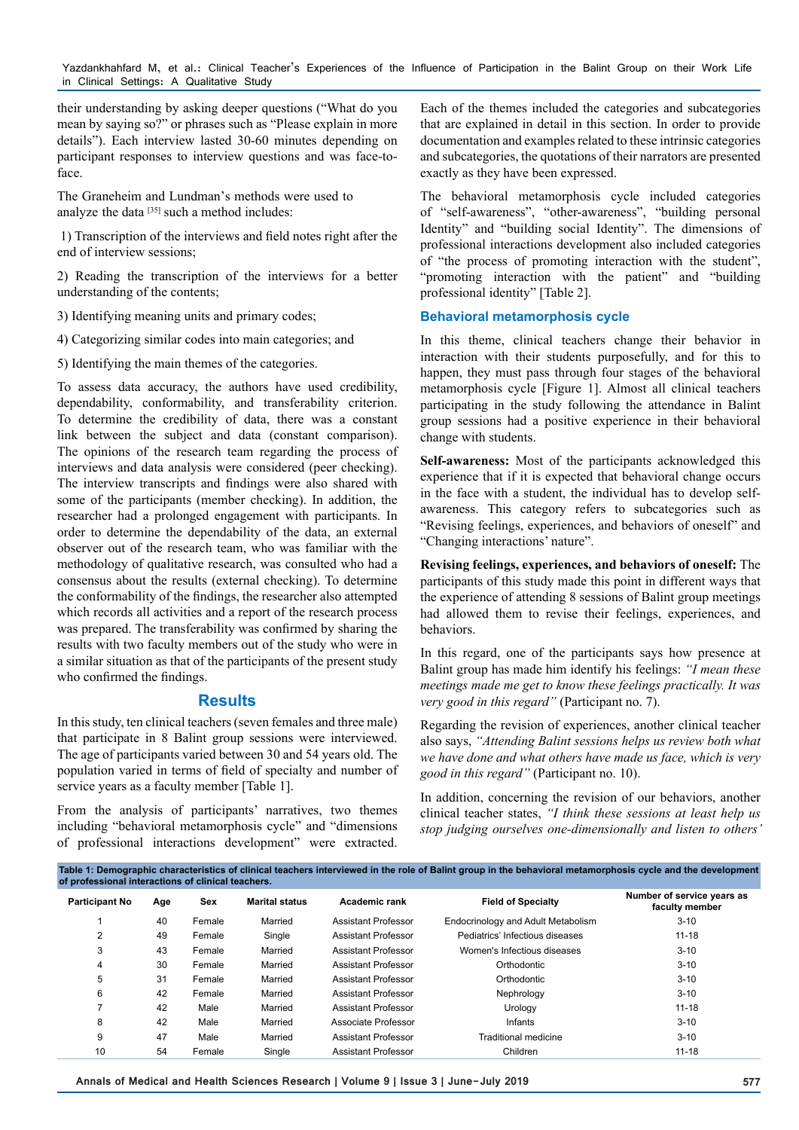their understanding by asking deeper questions ("What do you mean by saying so?" or phrases such as "Please explain in more details"). Each interview lasted 30-60 minutes depending on participant responses to interview questions and was face-toface.

The Graneheim and Lundman's methods were used to analyze the data  $[35]$  such a method includes:

1) Transcription of the interviews and field notes right after the end of interview sessions;

2) Reading the transcription of the interviews for a better understanding of the contents;

3) Identifying meaning units and primary codes;

4) Categorizing similar codes into main categories; and

5) Identifying the main themes of the categories.

To assess data accuracy, the authors have used credibility, dependability, conformability, and transferability criterion. To determine the credibility of data, there was a constant link between the subject and data (constant comparison). The opinions of the research team regarding the process of interviews and data analysis were considered (peer checking). The interview transcripts and findings were also shared with some of the participants (member checking). In addition, the researcher had a prolonged engagement with participants. In order to determine the dependability of the data, an external observer out of the research team, who was familiar with the methodology of qualitative research, was consulted who had a consensus about the results (external checking). To determine the conformability of the findings, the researcher also attempted which records all activities and a report of the research process was prepared. The transferability was confirmed by sharing the results with two faculty members out of the study who were in a similar situation as that of the participants of the present study who confirmed the findings.

### **Results**

In this study, ten clinical teachers (seven females and three male) that participate in 8 Balint group sessions were interviewed. The age of participants varied between 30 and 54 years old. The population varied in terms of field of specialty and number of service years as a faculty member [Table 1].

From the analysis of participants' narratives, two themes including "behavioral metamorphosis cycle" and "dimensions of professional interactions development" were extracted.

Each of the themes included the categories and subcategories that are explained in detail in this section. In order to provide documentation and examples related to these intrinsic categories and subcategories, the quotations of their narrators are presented exactly as they have been expressed.

The behavioral metamorphosis cycle included categories of "self-awareness", "other-awareness", "building personal Identity" and "building social Identity". The dimensions of professional interactions development also included categories of "the process of promoting interaction with the student", "promoting interaction with the patient" and "building professional identity" [Table 2].

#### **Behavioral metamorphosis cycle**

In this theme, clinical teachers change their behavior in interaction with their students purposefully, and for this to happen, they must pass through four stages of the behavioral metamorphosis cycle [Figure 1]. Almost all clinical teachers participating in the study following the attendance in Balint group sessions had a positive experience in their behavioral change with students.

**Self-awareness:** Most of the participants acknowledged this experience that if it is expected that behavioral change occurs in the face with a student, the individual has to develop selfawareness. This category refers to subcategories such as "Revising feelings, experiences, and behaviors of oneself" and "Changing interactions' nature".

**Revising feelings, experiences, and behaviors of oneself:** The participants of this study made this point in different ways that the experience of attending 8 sessions of Balint group meetings had allowed them to revise their feelings, experiences, and behaviors.

In this regard, one of the participants says how presence at Balint group has made him identify his feelings: *"I mean these meetings made me get to know these feelings practically. It was very good in this regard"* (Participant no. 7).

Regarding the revision of experiences, another clinical teacher also says, *"Attending Balint sessions helps us review both what we have done and what others have made us face, which is very good in this regard"* (Participant no. 10).

In addition, concerning the revision of our behaviors, another clinical teacher states, *"I think these sessions at least help us stop judging ourselves one-dimensionally and listen to others'* 

| Table 1: Demographic characteristics of clinical teachers interviewed in the role of Balint group in the behavioral metamorphosis cycle and the development<br>of professional interactions of clinical teachers. |     |        |                       |                            |                                    |                                              |  |
|-------------------------------------------------------------------------------------------------------------------------------------------------------------------------------------------------------------------|-----|--------|-----------------------|----------------------------|------------------------------------|----------------------------------------------|--|
| <b>Participant No</b>                                                                                                                                                                                             | Age | Sex    | <b>Marital status</b> | Academic rank              | <b>Field of Specialty</b>          | Number of service years as<br>faculty member |  |
|                                                                                                                                                                                                                   | 40  | Female | Married               | Assistant Professor        | Endocrinology and Adult Metabolism | $3 - 10$                                     |  |
| 2                                                                                                                                                                                                                 | 49  | Female | Single                | Assistant Professor        | Pediatrics' Infectious diseases    | $11 - 18$                                    |  |
| 3                                                                                                                                                                                                                 | 43  | Female | Married               | Assistant Professor        | Women's Infectious diseases        | $3 - 10$                                     |  |
| 4                                                                                                                                                                                                                 | 30  | Female | Married               | Assistant Professor        | Orthodontic                        | $3 - 10$                                     |  |
| 5                                                                                                                                                                                                                 | 31  | Female | Married               | Assistant Professor        | Orthodontic                        | $3 - 10$                                     |  |
| 6                                                                                                                                                                                                                 | 42  | Female | Married               | Assistant Professor        | Nephrology                         | $3 - 10$                                     |  |
|                                                                                                                                                                                                                   | 42  | Male   | Married               | Assistant Professor        | Urology                            | $11 - 18$                                    |  |
| 8                                                                                                                                                                                                                 | 42  | Male   | Married               | Associate Professor        | Infants                            | $3 - 10$                                     |  |
| 9                                                                                                                                                                                                                 | 47  | Male   | Married               | <b>Assistant Professor</b> | <b>Traditional medicine</b>        | $3 - 10$                                     |  |
| 10                                                                                                                                                                                                                | 54  | Female | Single                | <b>Assistant Professor</b> | Children                           | $11 - 18$                                    |  |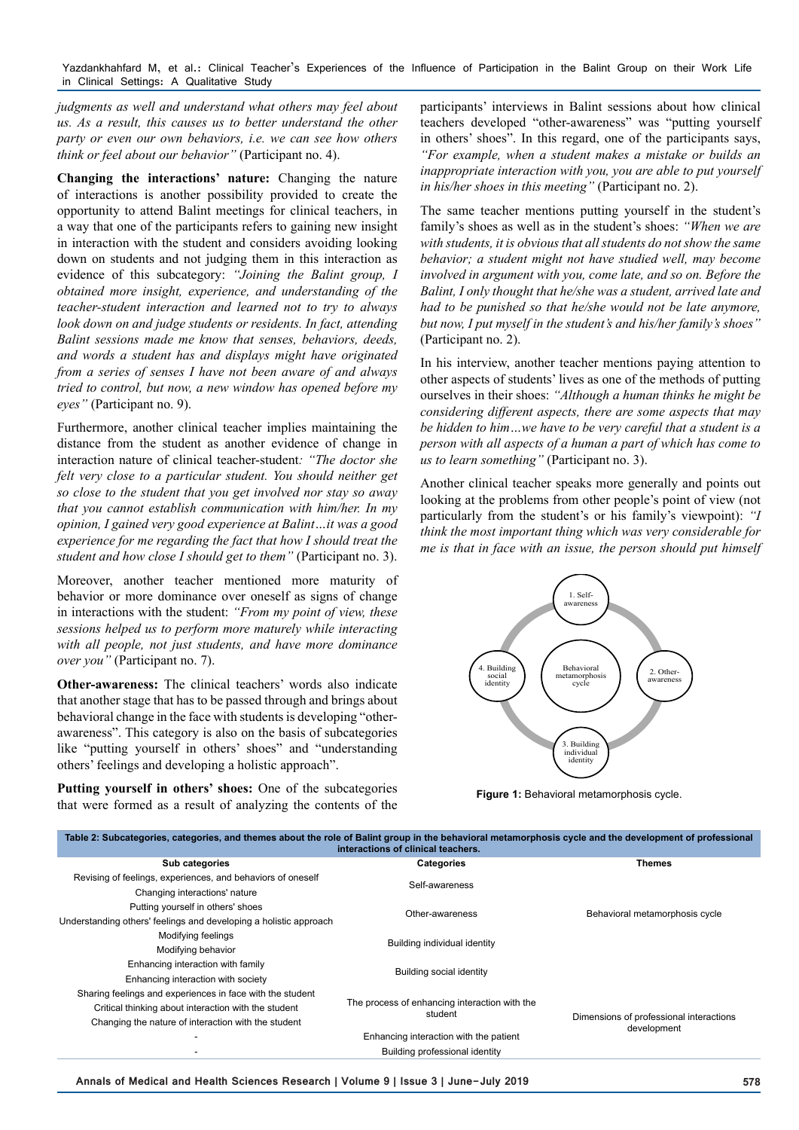*judgments as well and understand what others may feel about us. As a result, this causes us to better understand the other party or even our own behaviors, i.e. we can see how others think or feel about our behavior"* (Participant no. 4).

**Changing the interactions' nature:** Changing the nature of interactions is another possibility provided to create the opportunity to attend Balint meetings for clinical teachers, in a way that one of the participants refers to gaining new insight in interaction with the student and considers avoiding looking down on students and not judging them in this interaction as evidence of this subcategory: *"Joining the Balint group, I obtained more insight, experience, and understanding of the teacher-student interaction and learned not to try to always look down on and judge students or residents. In fact, attending Balint sessions made me know that senses, behaviors, deeds, and words a student has and displays might have originated from a series of senses I have not been aware of and always tried to control, but now, a new window has opened before my eyes"* (Participant no. 9).

Furthermore, another clinical teacher implies maintaining the distance from the student as another evidence of change in interaction nature of clinical teacher-student*: "The doctor she felt very close to a particular student. You should neither get so close to the student that you get involved nor stay so away that you cannot establish communication with him/her. In my opinion, I gained very good experience at Balint…it was a good experience for me regarding the fact that how I should treat the student and how close I should get to them"* (Participant no. 3).

Moreover, another teacher mentioned more maturity of behavior or more dominance over oneself as signs of change in interactions with the student: *"From my point of view, these sessions helped us to perform more maturely while interacting with all people, not just students, and have more dominance over you"* (Participant no. 7).

**Other-awareness:** The clinical teachers' words also indicate that another stage that has to be passed through and brings about behavioral change in the face with students is developing "otherawareness". This category is also on the basis of subcategories like "putting yourself in others' shoes" and "understanding others' feelings and developing a holistic approach".

Putting yourself in others' shoes: One of the subcategories that were formed as a result of analyzing the contents of the participants' interviews in Balint sessions about how clinical teachers developed "other-awareness" was "putting yourself in others' shoes". In this regard, one of the participants says, *"For example, when a student makes a mistake or builds an inappropriate interaction with you, you are able to put yourself in his/her shoes in this meeting"* (Participant no. 2).

The same teacher mentions putting yourself in the student's family's shoes as well as in the student's shoes: *"When we are with students, it is obvious that all students do not show the same behavior; a student might not have studied well, may become involved in argument with you, come late, and so on. Before the Balint, I only thought that he/she was a student, arrived late and had to be punished so that he/she would not be late anymore, but now, I put myself in the student's and his/her family's shoes"*  (Participant no. 2).

In his interview, another teacher mentions paying attention to other aspects of students' lives as one of the methods of putting ourselves in their shoes: *"Although a human thinks he might be considering different aspects, there are some aspects that may be hidden to him…we have to be very careful that a student is a person with all aspects of a human a part of which has come to us to learn something"* (Participant no. 3).

Another clinical teacher speaks more generally and points out looking at the problems from other people's point of view (not particularly from the student's or his family's viewpoint): *"I think the most important thing which was very considerable for me is that in face with an issue, the person should put himself* 



**Figure 1:** Behavioral metamorphosis cycle.

| Table 2: Subcategories, categories, and themes about the role of Balint group in the behavioral metamorphosis cycle and the development of professional<br>interactions of clinical teachers. |                                                          |                                                        |  |  |  |  |
|-----------------------------------------------------------------------------------------------------------------------------------------------------------------------------------------------|----------------------------------------------------------|--------------------------------------------------------|--|--|--|--|
| Sub categories                                                                                                                                                                                | <b>Categories</b>                                        | <b>Themes</b>                                          |  |  |  |  |
| Revising of feelings, experiences, and behaviors of oneself                                                                                                                                   | Self-awareness                                           |                                                        |  |  |  |  |
| Changing interactions' nature                                                                                                                                                                 |                                                          |                                                        |  |  |  |  |
| Putting yourself in others' shoes                                                                                                                                                             | Other-awareness                                          | Behavioral metamorphosis cycle                         |  |  |  |  |
| Understanding others' feelings and developing a holistic approach                                                                                                                             |                                                          |                                                        |  |  |  |  |
| Modifying feelings                                                                                                                                                                            | Building individual identity                             |                                                        |  |  |  |  |
| Modifying behavior                                                                                                                                                                            |                                                          |                                                        |  |  |  |  |
| Enhancing interaction with family                                                                                                                                                             | Building social identity                                 |                                                        |  |  |  |  |
| Enhancing interaction with society                                                                                                                                                            |                                                          |                                                        |  |  |  |  |
| Sharing feelings and experiences in face with the student                                                                                                                                     |                                                          |                                                        |  |  |  |  |
| Critical thinking about interaction with the student                                                                                                                                          | The process of enhancing interaction with the<br>student | Dimensions of professional interactions<br>development |  |  |  |  |
| Changing the nature of interaction with the student                                                                                                                                           |                                                          |                                                        |  |  |  |  |
|                                                                                                                                                                                               | Enhancing interaction with the patient                   |                                                        |  |  |  |  |
|                                                                                                                                                                                               | Building professional identity                           |                                                        |  |  |  |  |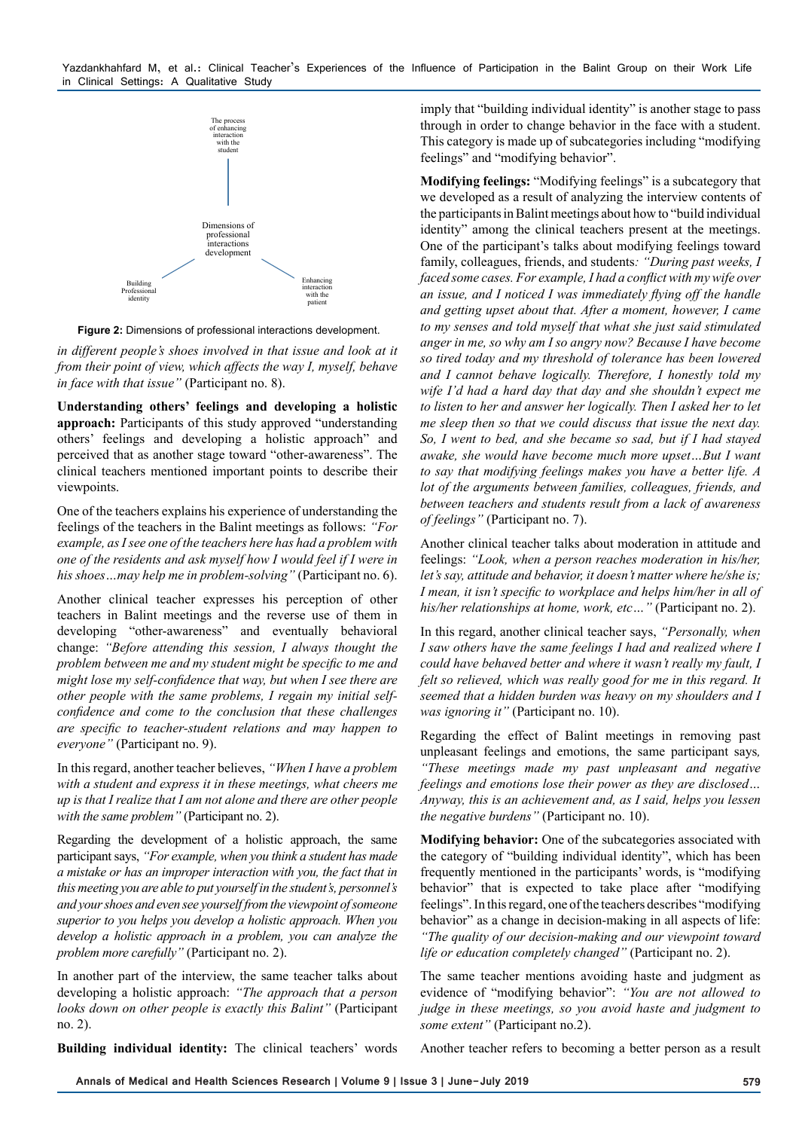

**Figure 2:** Dimensions of professional interactions development.

*in different people's shoes involved in that issue and look at it from their point of view, which affects the way I, myself, behave in face with that issue"* (Participant no. 8).

**Understanding others' feelings and developing a holistic approach:** Participants of this study approved "understanding others' feelings and developing a holistic approach" and perceived that as another stage toward "other-awareness". The clinical teachers mentioned important points to describe their viewpoints.

One of the teachers explains his experience of understanding the feelings of the teachers in the Balint meetings as follows: *"For example, as I see one of the teachers here has had a problem with one of the residents and ask myself how I would feel if I were in his shoes…may help me in problem-solving"* (Participant no. 6).

Another clinical teacher expresses his perception of other teachers in Balint meetings and the reverse use of them in developing "other-awareness" and eventually behavioral change: *"Before attending this session, I always thought the problem between me and my student might be specific to me and might lose my self-confidence that way, but when I see there are other people with the same problems, I regain my initial selfconfidence and come to the conclusion that these challenges are specific to teacher-student relations and may happen to everyone"* (Participant no. 9).

In this regard, another teacher believes, *"When I have a problem*  with a student and express it in these meetings, what cheers me *up is that I realize that I am not alone and there are other people*  with the same problem" (Participant no. 2).

Regarding the development of a holistic approach, the same participant says, *"For example, when you think a student has made a mistake or has an improper interaction with you, the fact that in this meeting you are able to put yourself in the student's, personnel's and your shoes and even see yourself from the viewpoint of someone superior to you helps you develop a holistic approach. When you develop a holistic approach in a problem, you can analyze the problem more carefully"* (Participant no. 2).

In another part of the interview, the same teacher talks about developing a holistic approach: *"The approach that a person looks down on other people is exactly this Balint"* (Participant no. 2).

imply that "building individual identity" is another stage to pass through in order to change behavior in the face with a student. This category is made up of subcategories including "modifying feelings" and "modifying behavior".

**Modifying feelings:** "Modifying feelings" is a subcategory that we developed as a result of analyzing the interview contents of the participants in Balint meetings about how to "build individual identity" among the clinical teachers present at the meetings. One of the participant's talks about modifying feelings toward family, colleagues, friends, and students*: "During past weeks, I faced some cases. For example, I had a conflict with my wife over an issue, and I noticed I was immediately flying off the handle and getting upset about that. After a moment, however, I came to my senses and told myself that what she just said stimulated anger in me, so why am I so angry now? Because I have become so tired today and my threshold of tolerance has been lowered and I cannot behave logically. Therefore, I honestly told my wife I'd had a hard day that day and she shouldn't expect me to listen to her and answer her logically. Then I asked her to let me sleep then so that we could discuss that issue the next day. So, I went to bed, and she became so sad, but if I had stayed awake, she would have become much more upset…But I want to say that modifying feelings makes you have a better life. A lot of the arguments between families, colleagues, friends, and between teachers and students result from a lack of awareness of feelings"* (Participant no. 7).

Another clinical teacher talks about moderation in attitude and feelings: *"Look, when a person reaches moderation in his/her, let's say, attitude and behavior, it doesn't matter where he/she is; I mean, it isn't specific to workplace and helps him/her in all of his/her relationships at home, work, etc…"* (Participant no. 2).

In this regard, another clinical teacher says, *"Personally, when I saw others have the same feelings I had and realized where I could have behaved better and where it wasn't really my fault, I felt so relieved, which was really good for me in this regard. It seemed that a hidden burden was heavy on my shoulders and I was ignoring it"* (Participant no. 10).

Regarding the effect of Balint meetings in removing past unpleasant feelings and emotions, the same participant says*, "These meetings made my past unpleasant and negative feelings and emotions lose their power as they are disclosed… Anyway, this is an achievement and, as I said, helps you lessen the negative burdens"* (Participant no. 10).

**Modifying behavior:** One of the subcategories associated with the category of "building individual identity", which has been frequently mentioned in the participants' words, is "modifying behavior" that is expected to take place after "modifying feelings". In this regard, one of the teachers describes "modifying behavior" as a change in decision-making in all aspects of life: *"The quality of our decision-making and our viewpoint toward life or education completely changed"* (Participant no. 2).

The same teacher mentions avoiding haste and judgment as evidence of "modifying behavior": *"You are not allowed to judge in these meetings, so you avoid haste and judgment to some extent"* (Participant no.2).

**Building individual identity:** The clinical teachers' words

Another teacher refers to becoming a better person as a result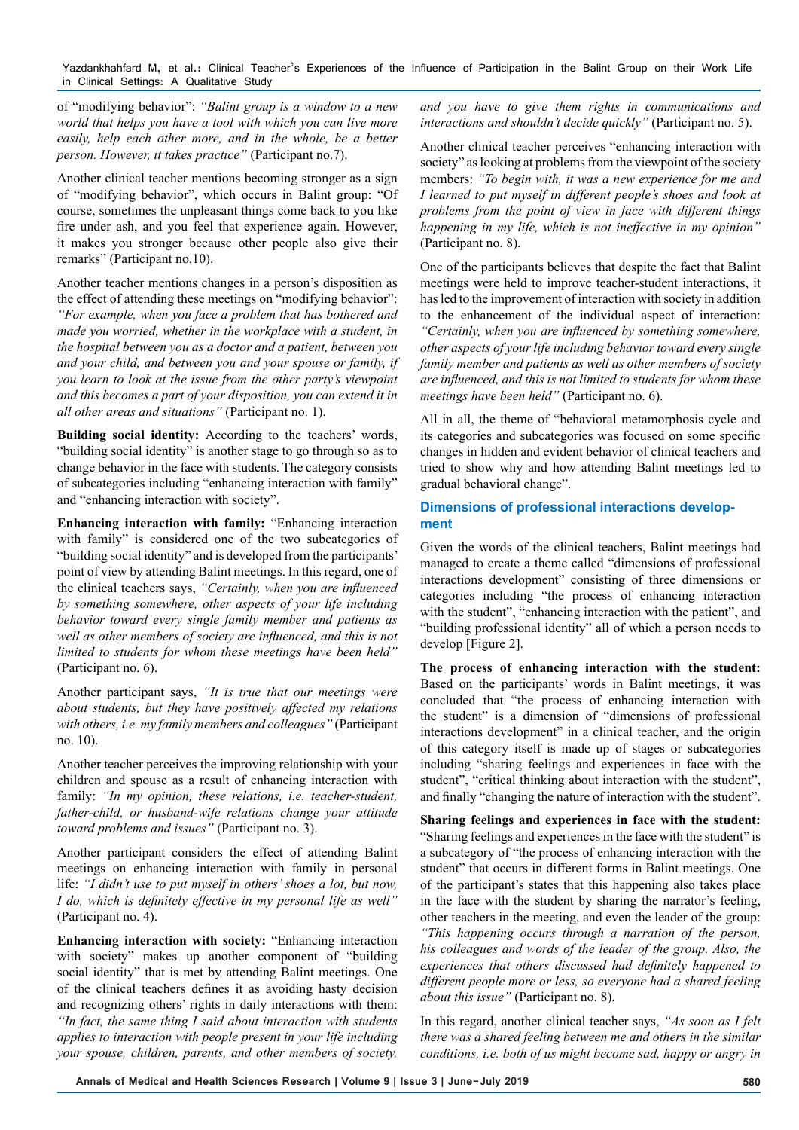of "modifying behavior": *"Balint group is a window to a new world that helps you have a tool with which you can live more easily, help each other more, and in the whole, be a better person. However, it takes practice"* (Participant no.7).

Another clinical teacher mentions becoming stronger as a sign of "modifying behavior", which occurs in Balint group: "Of course, sometimes the unpleasant things come back to you like fire under ash, and you feel that experience again. However, it makes you stronger because other people also give their remarks" (Participant no.10).

Another teacher mentions changes in a person's disposition as the effect of attending these meetings on "modifying behavior": *"For example, when you face a problem that has bothered and made you worried, whether in the workplace with a student, in the hospital between you as a doctor and a patient, between you and your child, and between you and your spouse or family, if you learn to look at the issue from the other party's viewpoint and this becomes a part of your disposition, you can extend it in all other areas and situations"* (Participant no. 1).

**Building social identity:** According to the teachers' words, "building social identity" is another stage to go through so as to change behavior in the face with students. The category consists of subcategories including "enhancing interaction with family" and "enhancing interaction with society".

**Enhancing interaction with family:** "Enhancing interaction with family" is considered one of the two subcategories of "building social identity" and is developed from the participants' point of view by attending Balint meetings. In this regard, one of the clinical teachers says, *"Certainly, when you are influenced by something somewhere, other aspects of your life including behavior toward every single family member and patients as well as other members of society are influenced, and this is not limited to students for whom these meetings have been held"* (Participant no. 6).

Another participant says, *"It is true that our meetings were about students, but they have positively affected my relations with others, i.e. my family members and colleagues"* (Participant no. 10).

Another teacher perceives the improving relationship with your children and spouse as a result of enhancing interaction with family: *"In my opinion, these relations, i.e. teacher-student, father-child, or husband-wife relations change your attitude toward problems and issues"* (Participant no. 3).

Another participant considers the effect of attending Balint meetings on enhancing interaction with family in personal life: *"I didn't use to put myself in others' shoes a lot, but now, I do, which is definitely effective in my personal life as well"*  (Participant no. 4).

**Enhancing interaction with society:** "Enhancing interaction with society" makes up another component of "building" social identity" that is met by attending Balint meetings. One of the clinical teachers defines it as avoiding hasty decision and recognizing others' rights in daily interactions with them: *"In fact, the same thing I said about interaction with students applies to interaction with people present in your life including your spouse, children, parents, and other members of society,* 

*and you have to give them rights in communications and interactions and shouldn't decide quickly"* (Participant no. 5).

Another clinical teacher perceives "enhancing interaction with society" as looking at problems from the viewpoint of the society members: *"To begin with, it was a new experience for me and I learned to put myself in different people's shoes and look at problems from the point of view in face with different things happening in my life, which is not ineffective in my opinion"*  (Participant no. 8).

One of the participants believes that despite the fact that Balint meetings were held to improve teacher-student interactions, it has led to the improvement of interaction with society in addition to the enhancement of the individual aspect of interaction: *"Certainly, when you are influenced by something somewhere, other aspects of your life including behavior toward every single family member and patients as well as other members of society are influenced, and this is not limited to students for whom these meetings have been held"* (Participant no. 6).

All in all, the theme of "behavioral metamorphosis cycle and its categories and subcategories was focused on some specific changes in hidden and evident behavior of clinical teachers and tried to show why and how attending Balint meetings led to gradual behavioral change".

## **Dimensions of professional interactions development**

Given the words of the clinical teachers, Balint meetings had managed to create a theme called "dimensions of professional interactions development" consisting of three dimensions or categories including "the process of enhancing interaction with the student", "enhancing interaction with the patient", and "building professional identity" all of which a person needs to develop [Figure 2].

**The process of enhancing interaction with the student:**  Based on the participants' words in Balint meetings, it was concluded that "the process of enhancing interaction with the student" is a dimension of "dimensions of professional interactions development" in a clinical teacher, and the origin of this category itself is made up of stages or subcategories including "sharing feelings and experiences in face with the student", "critical thinking about interaction with the student", and finally "changing the nature of interaction with the student".

**Sharing feelings and experiences in face with the student:**  "Sharing feelings and experiences in the face with the student" is a subcategory of "the process of enhancing interaction with the student" that occurs in different forms in Balint meetings. One of the participant's states that this happening also takes place in the face with the student by sharing the narrator's feeling, other teachers in the meeting, and even the leader of the group: *"This happening occurs through a narration of the person, his colleagues and words of the leader of the group. Also, the experiences that others discussed had definitely happened to different people more or less, so everyone had a shared feeling about this issue"* (Participant no. 8).

In this regard, another clinical teacher says, *"As soon as I felt there was a shared feeling between me and others in the similar conditions, i.e. both of us might become sad, happy or angry in*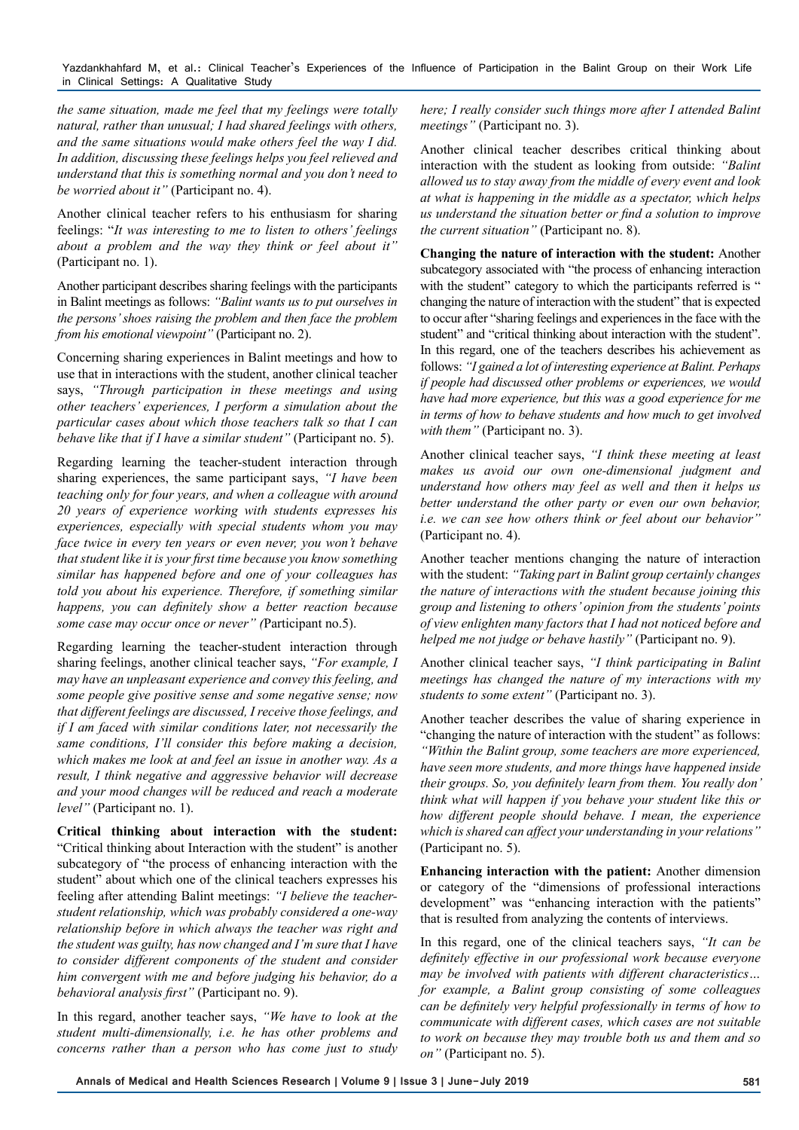*the same situation, made me feel that my feelings were totally natural, rather than unusual; I had shared feelings with others, and the same situations would make others feel the way I did. In addition, discussing these feelings helps you feel relieved and understand that this is something normal and you don't need to be worried about it"* (Participant no. 4).

Another clinical teacher refers to his enthusiasm for sharing feelings: "*It was interesting to me to listen to others' feelings about a problem and the way they think or feel about it"* (Participant no. 1).

Another participant describes sharing feelings with the participants in Balint meetings as follows: *"Balint wants us to put ourselves in the persons' shoes raising the problem and then face the problem from his emotional viewpoint"* (Participant no. 2).

Concerning sharing experiences in Balint meetings and how to use that in interactions with the student, another clinical teacher says, *"Through participation in these meetings and using other teachers' experiences, I perform a simulation about the particular cases about which those teachers talk so that I can behave like that if I have a similar student"* (Participant no. 5).

Regarding learning the teacher-student interaction through sharing experiences, the same participant says, *"I have been teaching only for four years, and when a colleague with around 20 years of experience working with students expresses his experiences, especially with special students whom you may face twice in every ten years or even never, you won't behave that student like it is your first time because you know something similar has happened before and one of your colleagues has told you about his experience. Therefore, if something similar happens, you can definitely show a better reaction because some case may occur once or never" (*Participant no.5).

Regarding learning the teacher-student interaction through sharing feelings, another clinical teacher says, *"For example, I may have an unpleasant experience and convey this feeling, and some people give positive sense and some negative sense; now that different feelings are discussed, I receive those feelings, and if I am faced with similar conditions later, not necessarily the same conditions, I'll consider this before making a decision, which makes me look at and feel an issue in another way. As a result, I think negative and aggressive behavior will decrease and your mood changes will be reduced and reach a moderate level"* (Participant no. 1).

**Critical thinking about interaction with the student:**  "Critical thinking about Interaction with the student" is another subcategory of "the process of enhancing interaction with the student" about which one of the clinical teachers expresses his feeling after attending Balint meetings: *"I believe the teacherstudent relationship, which was probably considered a one-way relationship before in which always the teacher was right and the student was guilty, has now changed and I'm sure that I have to consider different components of the student and consider him convergent with me and before judging his behavior, do a behavioral analysis first"* (Participant no. 9).

In this regard, another teacher says, *"We have to look at the student multi-dimensionally, i.e. he has other problems and concerns rather than a person who has come just to study* 

*here; I really consider such things more after I attended Balint meetings"* (Participant no. 3).

Another clinical teacher describes critical thinking about interaction with the student as looking from outside: *"Balint allowed us to stay away from the middle of every event and look at what is happening in the middle as a spectator, which helps us understand the situation better or find a solution to improve the current situation"* (Participant no. 8).

**Changing the nature of interaction with the student:** Another subcategory associated with "the process of enhancing interaction with the student" category to which the participants referred is " changing the nature of interaction with the student" that is expected to occur after "sharing feelings and experiences in the face with the student" and "critical thinking about interaction with the student". In this regard, one of the teachers describes his achievement as follows: *"I gained a lot of interesting experience at Balint. Perhaps if people had discussed other problems or experiences, we would have had more experience, but this was a good experience for me in terms of how to behave students and how much to get involved with them"* (Participant no. 3).

Another clinical teacher says, *"I think these meeting at least makes us avoid our own one-dimensional judgment and understand how others may feel as well and then it helps us better understand the other party or even our own behavior, i.e. we can see how others think or feel about our behavior"* (Participant no. 4).

Another teacher mentions changing the nature of interaction with the student: *"Taking part in Balint group certainly changes the nature of interactions with the student because joining this group and listening to others' opinion from the students' points of view enlighten many factors that I had not noticed before and helped me not judge or behave hastily"* (Participant no. 9).

Another clinical teacher says, *"I think participating in Balint meetings has changed the nature of my interactions with my students to some extent"* (Participant no. 3).

Another teacher describes the value of sharing experience in "changing the nature of interaction with the student" as follows: *"Within the Balint group, some teachers are more experienced, have seen more students, and more things have happened inside their groups. So, you definitely learn from them. You really don' think what will happen if you behave your student like this or how different people should behave. I mean, the experience which is shared can affect your understanding in your relations"* (Participant no. 5).

**Enhancing interaction with the patient:** Another dimension or category of the "dimensions of professional interactions development" was "enhancing interaction with the patients" that is resulted from analyzing the contents of interviews.

In this regard, one of the clinical teachers says, *"It can be definitely effective in our professional work because everyone may be involved with patients with different characteristics… for example, a Balint group consisting of some colleagues can be definitely very helpful professionally in terms of how to communicate with different cases, which cases are not suitable to work on because they may trouble both us and them and so on"* (Participant no. 5).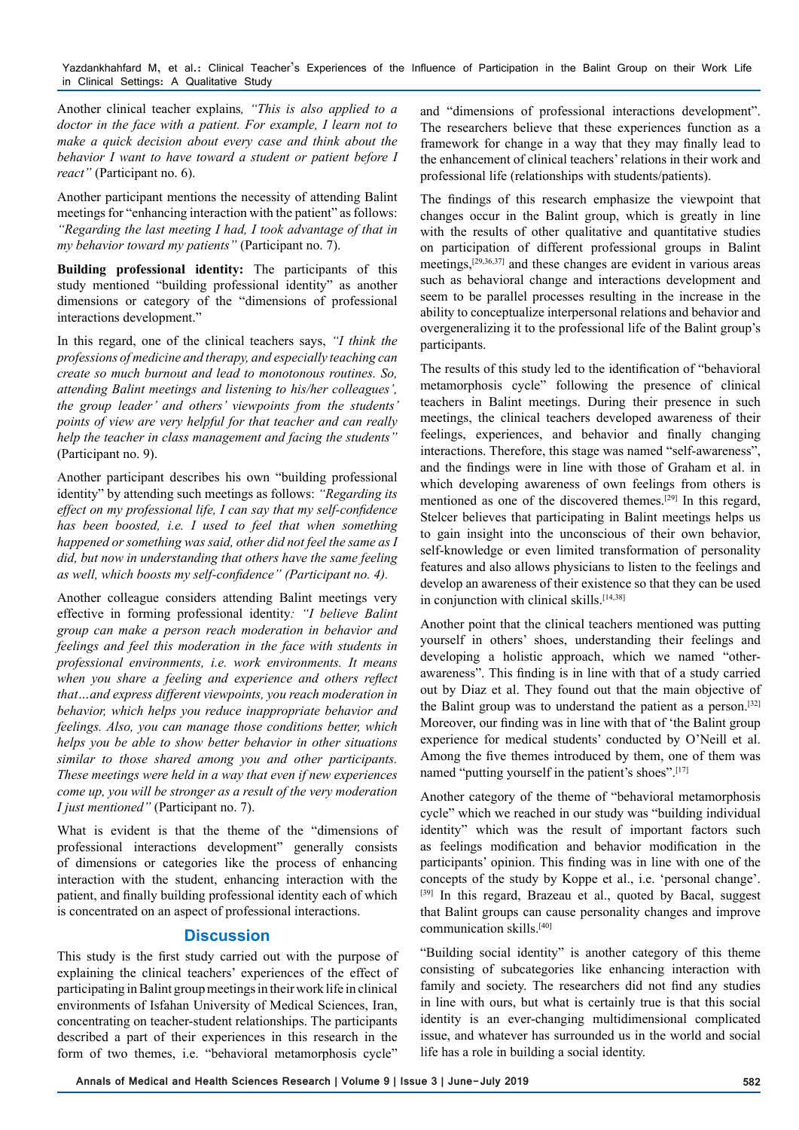Another clinical teacher explains*, "This is also applied to a doctor in the face with a patient. For example, I learn not to make a quick decision about every case and think about the behavior I want to have toward a student or patient before I react"* (Participant no. 6).

Another participant mentions the necessity of attending Balint meetings for "enhancing interaction with the patient" as follows: *"Regarding the last meeting I had, I took advantage of that in my behavior toward my patients"* (Participant no. 7).

**Building professional identity:** The participants of this study mentioned "building professional identity" as another dimensions or category of the "dimensions of professional interactions development."

In this regard, one of the clinical teachers says, *"I think the professions of medicine and therapy, and especially teaching can create so much burnout and lead to monotonous routines. So, attending Balint meetings and listening to his/her colleagues', the group leader' and others' viewpoints from the students' points of view are very helpful for that teacher and can really help the teacher in class management and facing the students"* (Participant no. 9).

Another participant describes his own "building professional identity" by attending such meetings as follows: *"Regarding its effect on my professional life, I can say that my self-confidence has been boosted, i.e. I used to feel that when something happened or something was said, other did not feel the same as I did, but now in understanding that others have the same feeling as well, which boosts my self-confidence" (Participant no. 4).* 

Another colleague considers attending Balint meetings very effective in forming professional identity*: "I believe Balint group can make a person reach moderation in behavior and feelings and feel this moderation in the face with students in professional environments, i.e. work environments. It means when you share a feeling and experience and others reflect that…and express different viewpoints, you reach moderation in behavior, which helps you reduce inappropriate behavior and feelings. Also, you can manage those conditions better, which helps you be able to show better behavior in other situations similar to those shared among you and other participants. These meetings were held in a way that even if new experiences come up, you will be stronger as a result of the very moderation I just mentioned"* (Participant no. 7).

What is evident is that the theme of the "dimensions of professional interactions development" generally consists of dimensions or categories like the process of enhancing interaction with the student, enhancing interaction with the patient, and finally building professional identity each of which is concentrated on an aspect of professional interactions.

# **Discussion**

This study is the first study carried out with the purpose of explaining the clinical teachers' experiences of the effect of participating in Balint group meetings in their work life in clinical environments of Isfahan University of Medical Sciences, Iran, concentrating on teacher-student relationships. The participants described a part of their experiences in this research in the form of two themes, i.e. "behavioral metamorphosis cycle"

and "dimensions of professional interactions development". The researchers believe that these experiences function as a framework for change in a way that they may finally lead to the enhancement of clinical teachers' relations in their work and professional life (relationships with students/patients).

The findings of this research emphasize the viewpoint that changes occur in the Balint group, which is greatly in line with the results of other qualitative and quantitative studies on participation of different professional groups in Balint meetings,[29,36,37] and these changes are evident in various areas such as behavioral change and interactions development and seem to be parallel processes resulting in the increase in the ability to conceptualize interpersonal relations and behavior and overgeneralizing it to the professional life of the Balint group's participants.

The results of this study led to the identification of "behavioral metamorphosis cycle" following the presence of clinical teachers in Balint meetings. During their presence in such meetings, the clinical teachers developed awareness of their feelings, experiences, and behavior and finally changing interactions. Therefore, this stage was named "self-awareness", and the findings were in line with those of Graham et al. in which developing awareness of own feelings from others is mentioned as one of the discovered themes.[29] In this regard, Stelcer believes that participating in Balint meetings helps us to gain insight into the unconscious of their own behavior, self-knowledge or even limited transformation of personality features and also allows physicians to listen to the feelings and develop an awareness of their existence so that they can be used in conjunction with clinical skills.<sup>[14,38]</sup>

Another point that the clinical teachers mentioned was putting yourself in others' shoes, understanding their feelings and developing a holistic approach, which we named "otherawareness". This finding is in line with that of a study carried out by Diaz et al. They found out that the main objective of the Balint group was to understand the patient as a person.[32] Moreover, our finding was in line with that of 'the Balint group experience for medical students' conducted by O'Neill et al. Among the five themes introduced by them, one of them was named "putting yourself in the patient's shoes".<sup>[17]</sup>

Another category of the theme of "behavioral metamorphosis cycle" which we reached in our study was "building individual identity" which was the result of important factors such as feelings modification and behavior modification in the participants' opinion. This finding was in line with one of the concepts of the study by Koppe et al., i.e. 'personal change'. [39] In this regard, Brazeau et al., quoted by Bacal, suggest that Balint groups can cause personality changes and improve communication skills.[40]

"Building social identity" is another category of this theme consisting of subcategories like enhancing interaction with family and society. The researchers did not find any studies in line with ours, but what is certainly true is that this social identity is an ever-changing multidimensional complicated issue, and whatever has surrounded us in the world and social life has a role in building a social identity.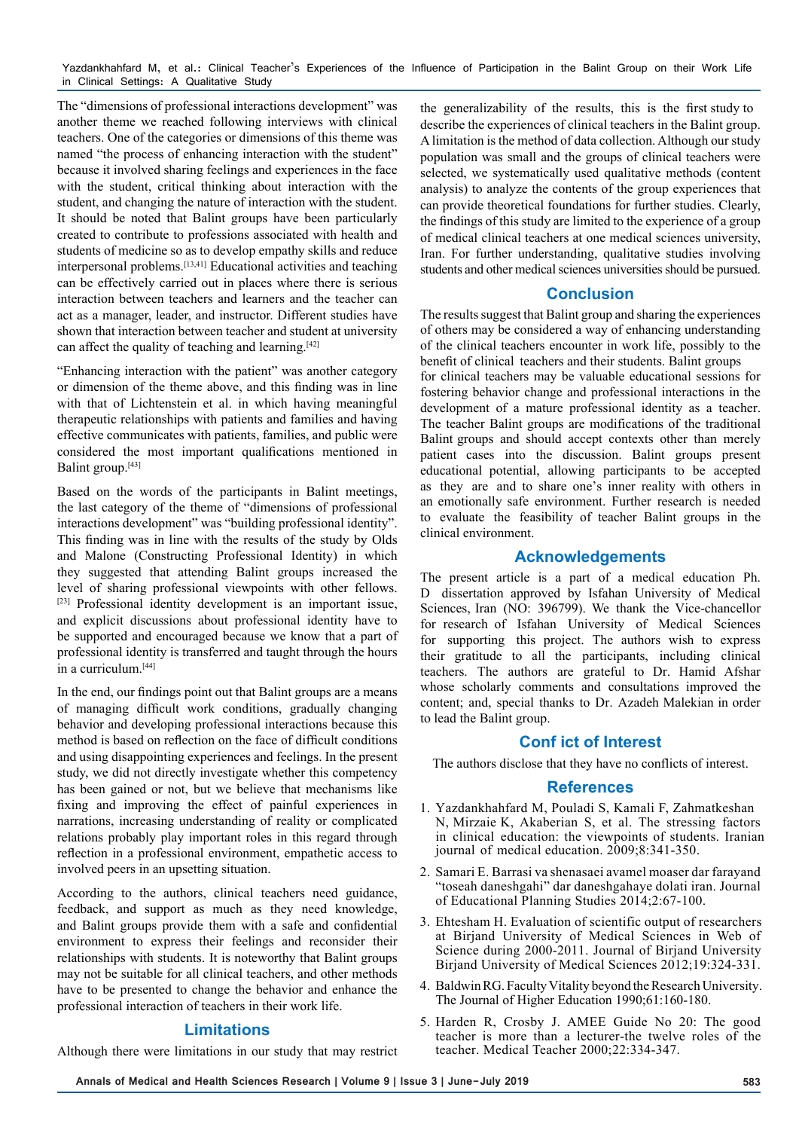The "dimensions of professional interactions development" was another theme we reached following interviews with clinical teachers. One of the categories or dimensions of this theme was named "the process of enhancing interaction with the student" because it involved sharing feelings and experiences in the face with the student, critical thinking about interaction with the student, and changing the nature of interaction with the student. It should be noted that Balint groups have been particularly created to contribute to professions associated with health and students of medicine so as to develop empathy skills and reduce interpersonal problems.[13,41] Educational activities and teaching can be effectively carried out in places where there is serious interaction between teachers and learners and the teacher can act as a manager, leader, and instructor. Different studies have shown that interaction between teacher and student at university can affect the quality of teaching and learning.<sup>[42]</sup>

"Enhancing interaction with the patient" was another category or dimension of the theme above, and this finding was in line with that of Lichtenstein et al. in which having meaningful therapeutic relationships with patients and families and having effective communicates with patients, families, and public were considered the most important qualifications mentioned in Balint group.<sup>[43]</sup>

Based on the words of the participants in Balint meetings, the last category of the theme of "dimensions of professional interactions development" was "building professional identity". This finding was in line with the results of the study by Olds and Malone (Constructing Professional Identity) in which they suggested that attending Balint groups increased the level of sharing professional viewpoints with other fellows. [23] Professional identity development is an important issue, and explicit discussions about professional identity have to be supported and encouraged because we know that a part of professional identity is transferred and taught through the hours in a curriculum.<sup>[44]</sup>

In the end, our findings point out that Balint groups are a means of managing difficult work conditions, gradually changing behavior and developing professional interactions because this method is based on reflection on the face of difficult conditions and using disappointing experiences and feelings. In the present study, we did not directly investigate whether this competency has been gained or not, but we believe that mechanisms like fixing and improving the effect of painful experiences in narrations, increasing understanding of reality or complicated relations probably play important roles in this regard through reflection in a professional environment, empathetic access to involved peers in an upsetting situation.

According to the authors, clinical teachers need guidance, feedback, and support as much as they need knowledge, and Balint groups provide them with a safe and confidential environment to express their feelings and reconsider their relationships with students. It is noteworthy that Balint groups may not be suitable for all clinical teachers, and other methods have to be presented to change the behavior and enhance the professional interaction of teachers in their work life.

## **Limitations**

Although there were limitations in our study that may restrict

the generalizability of the results, this is the first study to describe the experiences of clinical teachers in the Balint group. A limitation is the method of data collection. Although our study population was small and the groups of clinical teachers were selected, we systematically used qualitative methods (content analysis) to analyze the contents of the group experiences that can provide theoretical foundations for further studies. Clearly, the findings of this study are limited to the experience of a group of medical clinical teachers at one medical sciences university, Iran. For further understanding, qualitative studies involving students and other medical sciences universities should be pursued.

# **Conclusion**

The results suggest that Balint group and sharing the experiences of others may be considered a way of enhancing understanding of the clinical teachers encounter in work life, possibly to the benefit of clinical teachers and their students. Balint groups for clinical teachers may be valuable educational sessions for fostering behavior change and professional interactions in the development of a mature professional identity as a teacher. The teacher Balint groups are modifications of the traditional Balint groups and should accept contexts other than merely patient cases into the discussion. Balint groups present educational potential, allowing participants to be accepted as they are and to share one's inner reality with others in an emotionally safe environment. Further research is needed to evaluate the feasibility of teacher Balint groups in the

## **Acknowledgements**

clinical environment.

The present article is a part of a medical education Ph. D dissertation approved by Isfahan University of Medical Sciences, Iran (NO: 396799). We thank the Vice-chancellor for research of Isfahan University of Medical Sciences for supporting this project. The authors wish to express their gratitude to all the participants, including clinical teachers. The authors are grateful to Dr. Hamid Afshar whose scholarly comments and consultations improved the content; and, special thanks to Dr. Azadeh Malekian in order to lead the Balint group.

## **Conf ict of Interest**

The authors disclose that they have no conflicts of interest.

### **References**

- 1. Yazdankhahfard M, Pouladi S, Kamali F, Zahmatkeshan N, Mirzaie K, Akaberian S, et al. The stressing factors in clinical education: the viewpoints of students. Iranian journal of medical education. 2009;8:341-350.
- 2. Samari E. Barrasi va shenasaei avamel moaser dar farayand "toseah daneshgahi" dar daneshgahaye dolati iran. Journal of Educational Planning Studies 2014;2:67-100.
- 3. Ehtesham H. Evaluation of scientific output of researchers at Birjand University of Medical Sciences in Web of Science during 2000-2011. Journal of Birjand University Birjand University of Medical Sciences 2012;19:324-331.
- 4. Baldwin RG. Faculty Vitality beyond the Research University. The Journal of Higher Education 1990;61:160-180.
- 5. Harden R, Crosby J. AMEE Guide No 20: The good teacher is more than a lecturer-the twelve roles of the teacher. Medical Teacher 2000;22:334-347.

**Annals of Medical and Health Sciences Research | Volume 9 | Issue 3 | June-July 2019 583**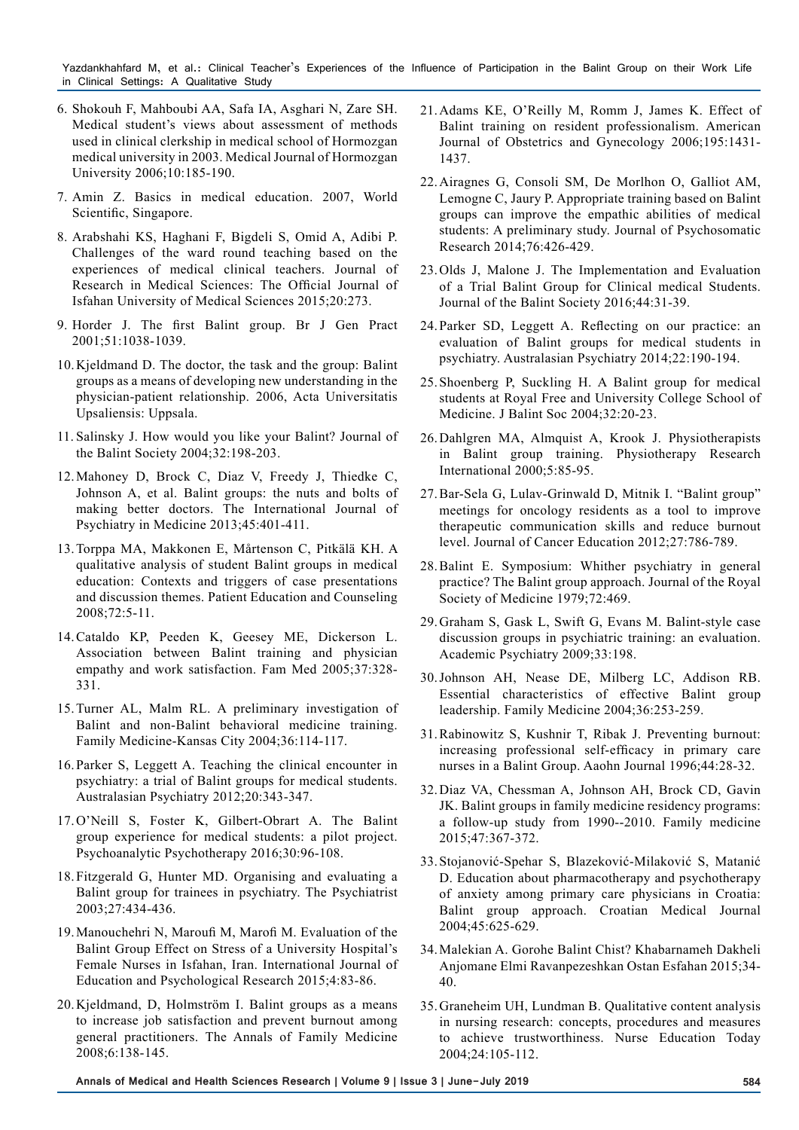- 6. Shokouh F, Mahboubi AA, Safa IA, Asghari N, Zare SH. Medical student's views about assessment of methods used in clinical clerkship in medical school of Hormozgan medical university in 2003. Medical Journal of Hormozgan University 2006;10:185-190.
- 7. Amin Z. Basics in medical education. 2007, World Scientific, Singapore.
- 8. Arabshahi KS, Haghani F, Bigdeli S, Omid A, Adibi P. Challenges of the ward round teaching based on the experiences of medical clinical teachers. Journal of Research in Medical Sciences: The Official Journal of Isfahan University of Medical Sciences 2015;20:273.
- 9. Horder J. The first Balint group. Br J Gen Pract 2001;51:1038-1039.
- 10.Kjeldmand D. The doctor, the task and the group: Balint groups as a means of developing new understanding in the physician-patient relationship. 2006, Acta Universitatis Upsaliensis: Uppsala.
- 11. Salinsky J. How would you like your Balint? Journal of the Balint Society 2004;32:198-203.
- 12.Mahoney D, Brock C, Diaz V, Freedy J, Thiedke C, Johnson A, et al. Balint groups: the nuts and bolts of making better doctors. The International Journal of Psychiatry in Medicine 2013;45:401-411.
- 13.Torppa MA, Makkonen E, Mårtenson C, Pitkälä KH. A qualitative analysis of student Balint groups in medical education: Contexts and triggers of case presentations and discussion themes. Patient Education and Counseling 2008;72:5-11.
- 14.Cataldo KP, Peeden K, Geesey ME, Dickerson L. Association between Balint training and physician empathy and work satisfaction. Fam Med 2005;37:328- 331.
- 15.Turner AL, Malm RL. A preliminary investigation of Balint and non-Balint behavioral medicine training. Family Medicine-Kansas City 2004;36:114-117.
- 16.Parker S, Leggett A. Teaching the clinical encounter in psychiatry: a trial of Balint groups for medical students. Australasian Psychiatry 2012;20:343-347.
- 17.O'Neill S, Foster K, Gilbert-Obrart A. The Balint group experience for medical students: a pilot project. Psychoanalytic Psychotherapy 2016;30:96-108.
- 18.Fitzgerald G, Hunter MD. Organising and evaluating a Balint group for trainees in psychiatry. The Psychiatrist 2003;27:434-436.
- 19.Manouchehri N, Maroufi M, Marofi M. Evaluation of the Balint Group Effect on Stress of a University Hospital's Female Nurses in Isfahan, Iran. International Journal of Education and Psychological Research 2015;4:83-86.
- 20.Kjeldmand, D, Holmström I. Balint groups as a means to increase job satisfaction and prevent burnout among general practitioners. The Annals of Family Medicine 2008;6:138-145.
- 21.Adams KE, O'Reilly M, Romm J, James K. Effect of Balint training on resident professionalism. American Journal of Obstetrics and Gynecology 2006;195:1431- 1437.
- 22.Airagnes G, Consoli SM, De Morlhon O, Galliot AM, Lemogne C, Jaury P. Appropriate training based on Balint groups can improve the empathic abilities of medical students: A preliminary study. Journal of Psychosomatic Research 2014;76:426-429.
- 23.Olds J, Malone J. The Implementation and Evaluation of a Trial Balint Group for Clinical medical Students. Journal of the Balint Society 2016;44:31-39.
- 24.Parker SD, Leggett A. Reflecting on our practice: an evaluation of Balint groups for medical students in psychiatry. Australasian Psychiatry 2014;22:190-194.
- 25.Shoenberg P, Suckling H. A Balint group for medical students at Royal Free and University College School of Medicine. J Balint Soc 2004;32:20-23.
- 26.Dahlgren MA, Almquist A, Krook J. Physiotherapists in Balint group training. Physiotherapy Research International 2000;5:85-95.
- 27.Bar-Sela G, Lulav-Grinwald D, Mitnik I. "Balint group" meetings for oncology residents as a tool to improve therapeutic communication skills and reduce burnout level. Journal of Cancer Education 2012;27:786-789.
- 28.Balint E. Symposium: Whither psychiatry in general practice? The Balint group approach. Journal of the Royal Society of Medicine 1979;72:469.
- 29.Graham S, Gask L, Swift G, Evans M. Balint-style case discussion groups in psychiatric training: an evaluation. Academic Psychiatry 2009;33:198.
- 30.Johnson AH, Nease DE, Milberg LC, Addison RB. Essential characteristics of effective Balint group leadership. Family Medicine 2004;36:253-259.
- 31.Rabinowitz S, Kushnir T, Ribak J. Preventing burnout: increasing professional self-efficacy in primary care nurses in a Balint Group. Aaohn Journal 1996;44:28-32.
- 32.Diaz VA, Chessman A, Johnson AH, Brock CD, Gavin JK. Balint groups in family medicine residency programs: a follow-up study from 1990--2010. Family medicine 2015;47:367-372.
- 33.Stojanović-Spehar S, Blazeković-Milaković S, Matanić D. Education about pharmacotherapy and psychotherapy of anxiety among primary care physicians in Croatia: Balint group approach. Croatian Medical Journal 2004;45:625-629.
- 34.Malekian A. Gorohe Balint Chist? Khabarnameh Dakheli Anjomane Elmi Ravanpezeshkan Ostan Esfahan 2015;34- 40.
- 35.Graneheim UH, Lundman B. Qualitative content analysis in nursing research: concepts, procedures and measures to achieve trustworthiness. Nurse Education Today 2004;24:105-112.

**Annals of Medical and Health Sciences Research | Volume 9 | Issue 3 | June-July 2019 584**